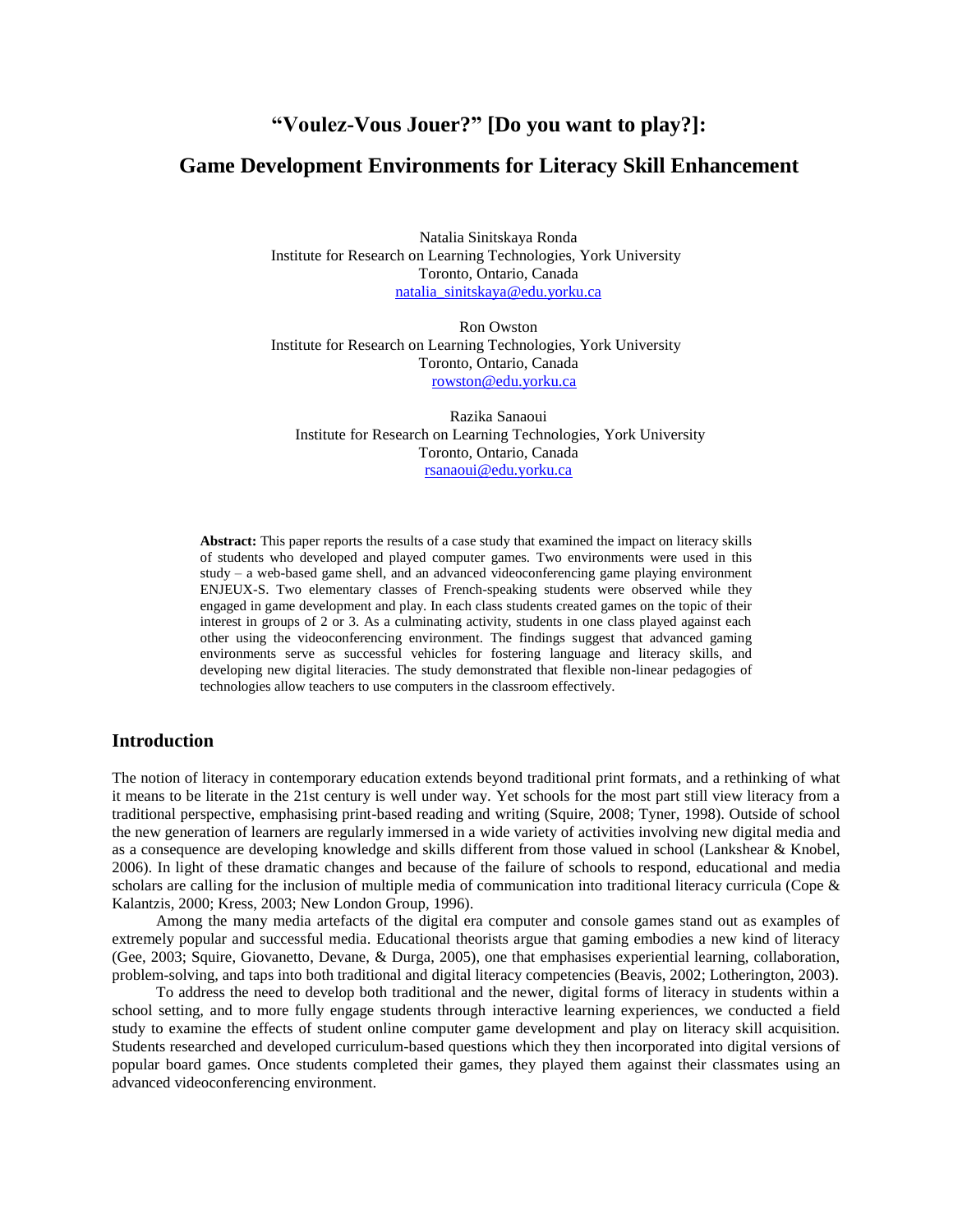# **"Voulez-Vous Jouer?" [Do you want to play?]:**

# **Game Development Environments for Literacy Skill Enhancement**

Natalia Sinitskaya Ronda Institute for Research on Learning Technologies, York University Toronto, Ontario, Canada [natalia\\_sinitskaya@edu.yorku.ca](mailto:natalia_sinitskaya@edu.yorku.ca)

Ron Owston Institute for Research on Learning Technologies, York University Toronto, Ontario, Canada [rowston@edu.yorku.ca](mailto:rowston@edu.yorku.ca)

Razika Sanaoui Institute for Research on Learning Technologies, York University Toronto, Ontario, Canada [rsanaoui@edu.yorku.ca](mailto:rsanaoui@edu.yorku.ca)

**Abstract:** This paper reports the results of a case study that examined the impact on literacy skills of students who developed and played computer games. Two environments were used in this study – a web-based game shell, and an advanced videoconferencing game playing environment ENJEUX-S. Two elementary classes of French-speaking students were observed while they engaged in game development and play. In each class students created games on the topic of their interest in groups of 2 or 3. As a culminating activity, students in one class played against each other using the videoconferencing environment. The findings suggest that advanced gaming environments serve as successful vehicles for fostering language and literacy skills, and developing new digital literacies. The study demonstrated that flexible non-linear pedagogies of technologies allow teachers to use computers in the classroom effectively.

# **Introduction**

The notion of literacy in contemporary education extends beyond traditional print formats, and a rethinking of what it means to be literate in the 21st century is well under way. Yet schools for the most part still view literacy from a traditional perspective, emphasising print-based reading and writing (Squire, 2008; Tyner, 1998). Outside of school the new generation of learners are regularly immersed in a wide variety of activities involving new digital media and as a consequence are developing knowledge and skills different from those valued in school (Lankshear & Knobel, 2006). In light of these dramatic changes and because of the failure of schools to respond, educational and media scholars are calling for the inclusion of multiple media of communication into traditional literacy curricula (Cope & Kalantzis, 2000; Kress, 2003; New London Group, 1996).

Among the many media artefacts of the digital era computer and console games stand out as examples of extremely popular and successful media. Educational theorists argue that gaming embodies a new kind of literacy (Gee, 2003; Squire, Giovanetto, Devane, & Durga, 2005), one that emphasises experiential learning, collaboration, problem-solving, and taps into both traditional and digital literacy competencies (Beavis, 2002; Lotherington, 2003).

To address the need to develop both traditional and the newer, digital forms of literacy in students within a school setting, and to more fully engage students through interactive learning experiences, we conducted a field study to examine the effects of student online computer game development and play on literacy skill acquisition. Students researched and developed curriculum-based questions which they then incorporated into digital versions of popular board games. Once students completed their games, they played them against their classmates using an advanced videoconferencing environment.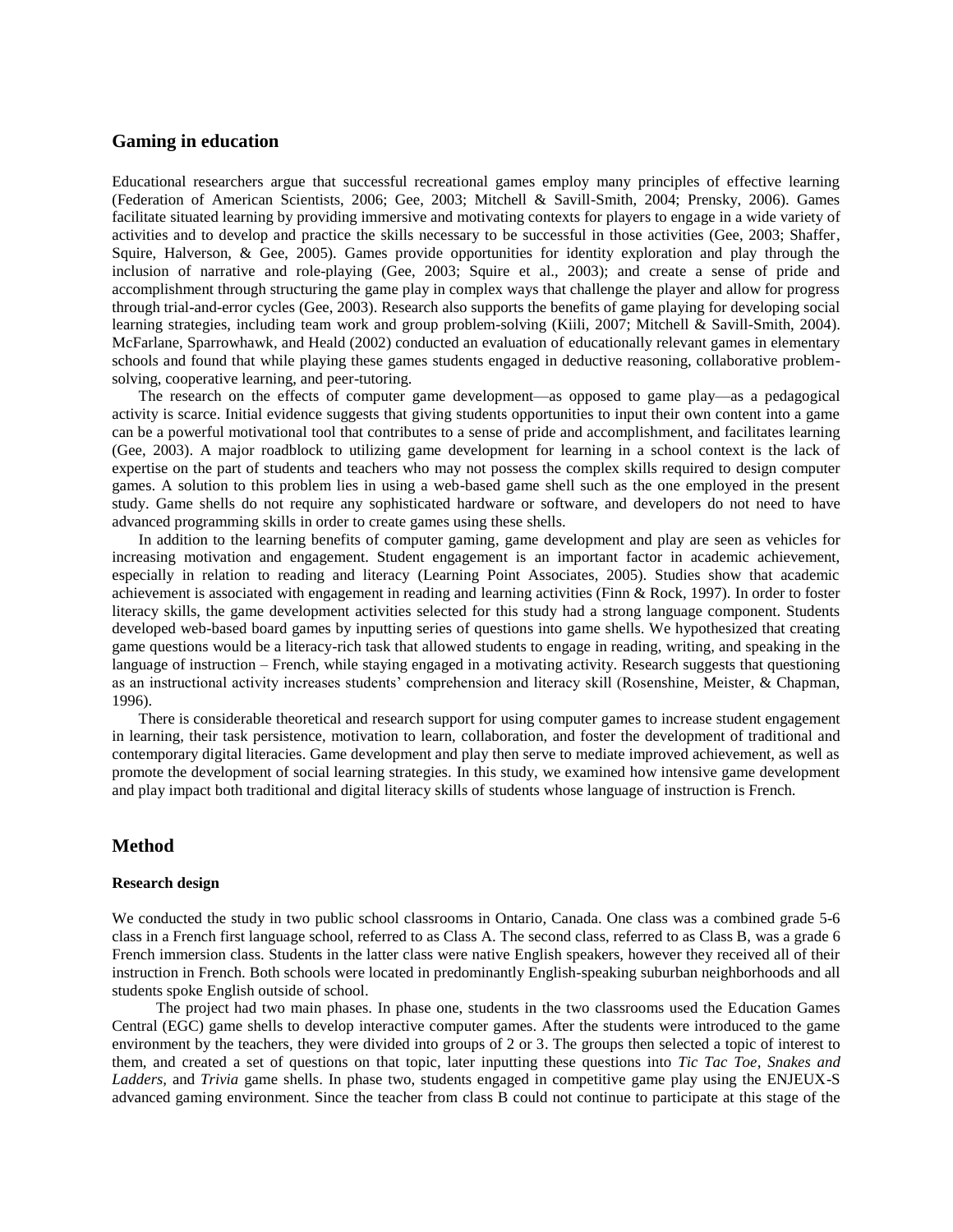# **Gaming in education**

Educational researchers argue that successful recreational games employ many principles of effective learning (Federation of American Scientists, 2006; Gee, 2003; Mitchell & Savill-Smith, 2004; Prensky, 2006). Games facilitate situated learning by providing immersive and motivating contexts for players to engage in a wide variety of activities and to develop and practice the skills necessary to be successful in those activities (Gee, 2003; Shaffer, Squire, Halverson, & Gee, 2005). Games provide opportunities for identity exploration and play through the inclusion of narrative and role-playing (Gee, 2003; Squire et al., 2003); and create a sense of pride and accomplishment through structuring the game play in complex ways that challenge the player and allow for progress through trial-and-error cycles (Gee, 2003). Research also supports the benefits of game playing for developing social learning strategies, including team work and group problem-solving (Kiili, 2007; Mitchell & Savill-Smith, 2004). McFarlane, Sparrowhawk, and Heald (2002) conducted an evaluation of educationally relevant games in elementary schools and found that while playing these games students engaged in deductive reasoning, collaborative problemsolving, cooperative learning, and peer-tutoring.

The research on the effects of computer game development—as opposed to game play—as a pedagogical activity is scarce. Initial evidence suggests that giving students opportunities to input their own content into a game can be a powerful motivational tool that contributes to a sense of pride and accomplishment, and facilitates learning (Gee, 2003). A major roadblock to utilizing game development for learning in a school context is the lack of expertise on the part of students and teachers who may not possess the complex skills required to design computer games. A solution to this problem lies in using a web-based game shell such as the one employed in the present study. Game shells do not require any sophisticated hardware or software, and developers do not need to have advanced programming skills in order to create games using these shells.

In addition to the learning benefits of computer gaming, game development and play are seen as vehicles for increasing motivation and engagement. Student engagement is an important factor in academic achievement, especially in relation to reading and literacy (Learning Point Associates, 2005). Studies show that academic achievement is associated with engagement in reading and learning activities (Finn & Rock, 1997). In order to foster literacy skills, the game development activities selected for this study had a strong language component. Students developed web-based board games by inputting series of questions into game shells. We hypothesized that creating game questions would be a literacy-rich task that allowed students to engage in reading, writing, and speaking in the language of instruction – French, while staying engaged in a motivating activity. Research suggests that questioning as an instructional activity increases students' comprehension and literacy skill (Rosenshine, Meister, & Chapman, 1996).

There is considerable theoretical and research support for using computer games to increase student engagement in learning, their task persistence, motivation to learn, collaboration, and foster the development of traditional and contemporary digital literacies. Game development and play then serve to mediate improved achievement, as well as promote the development of social learning strategies. In this study, we examined how intensive game development and play impact both traditional and digital literacy skills of students whose language of instruction is French.

# **Method**

#### **Research design**

We conducted the study in two public school classrooms in Ontario, Canada. One class was a combined grade 5-6 class in a French first language school, referred to as Class A. The second class, referred to as Class B, was a grade 6 French immersion class. Students in the latter class were native English speakers, however they received all of their instruction in French. Both schools were located in predominantly English-speaking suburban neighborhoods and all students spoke English outside of school.

The project had two main phases. In phase one, students in the two classrooms used the Education Games Central (EGC) game shells to develop interactive computer games. After the students were introduced to the game environment by the teachers, they were divided into groups of 2 or 3. The groups then selected a topic of interest to them, and created a set of questions on that topic, later inputting these questions into *Tic Tac Toe, Snakes and Ladders,* and *Trivia* game shells. In phase two, students engaged in competitive game play using the ENJEUX-S advanced gaming environment. Since the teacher from class B could not continue to participate at this stage of the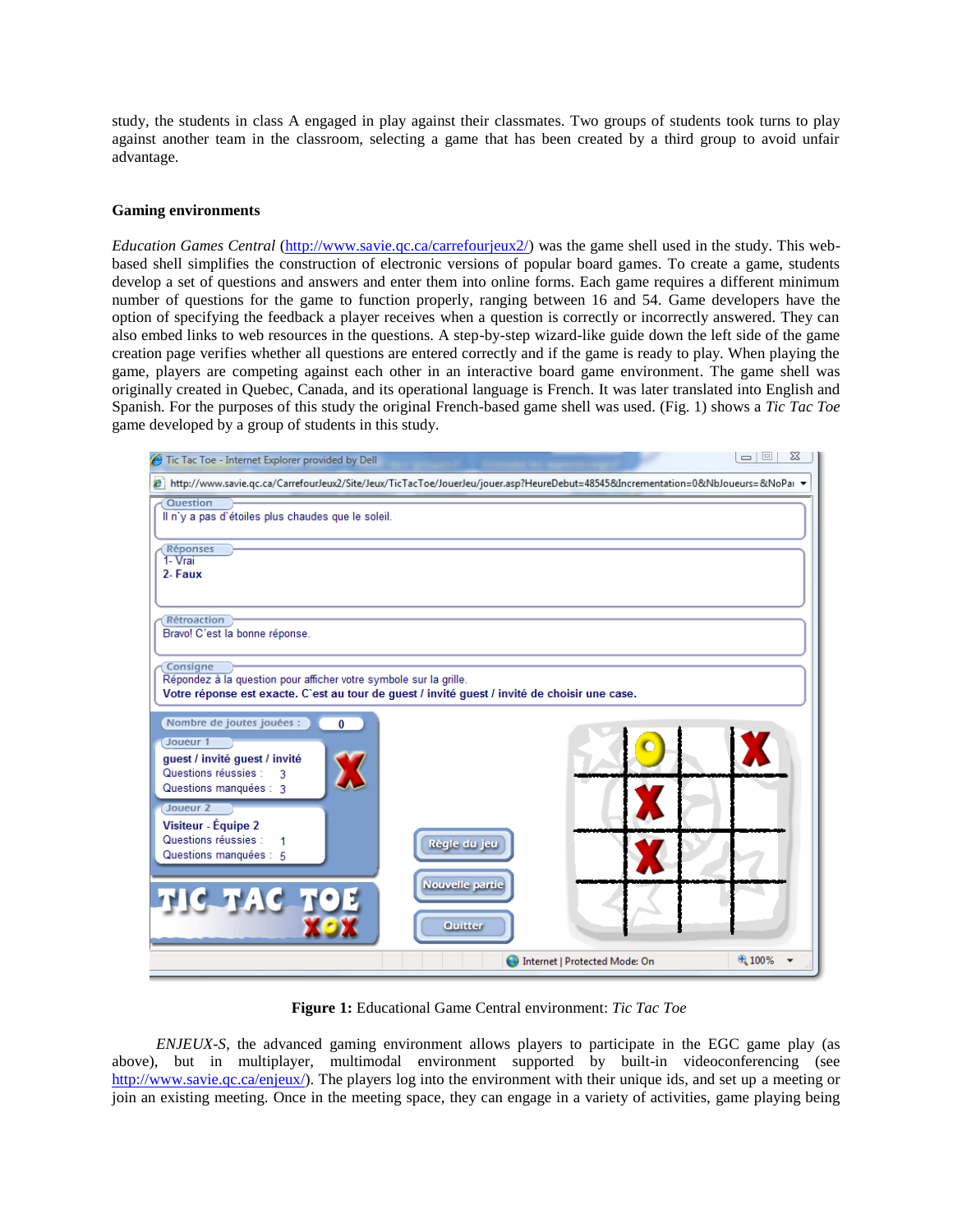study, the students in class A engaged in play against their classmates. Two groups of students took turns to play against another team in the classroom, selecting a game that has been created by a third group to avoid unfair advantage.

#### **Gaming environments**

*Education Games Central* [\(http://www.savie.qc.ca/carrefourjeux2/\)](http://www.savie.qc.ca/carrefourjeux2/) was the game shell used in the study. This webbased shell simplifies the construction of electronic versions of popular board games. To create a game, students develop a set of questions and answers and enter them into online forms. Each game requires a different minimum number of questions for the game to function properly, ranging between 16 and 54. Game developers have the option of specifying the feedback a player receives when a question is correctly or incorrectly answered. They can also embed links to web resources in the questions. A step-by-step wizard-like guide down the left side of the game creation page verifies whether all questions are entered correctly and if the game is ready to play. When playing the game, players are competing against each other in an interactive board game environment. The game shell was originally created in Quebec, Canada, and its operational language is French. It was later translated into English and Spanish. For the purposes of this study the original French-based game shell was used. (Fig. 1) shows a *Tic Tac Toe*  game developed by a group of students in this study.



**Figure 1:** Educational Game Central environment: *Tic Tac Toe*

*ENJEUX-S*, the advanced gaming environment allows players to participate in the EGC game play (as above), but in multiplayer, multimodal environment supported by built-in videoconferencing (see [http://www.savie.qc.ca/enjeux/\)](http://www.savie.qc.ca/enjeux/). The players log into the environment with their unique ids, and set up a meeting or join an existing meeting. Once in the meeting space, they can engage in a variety of activities, game playing being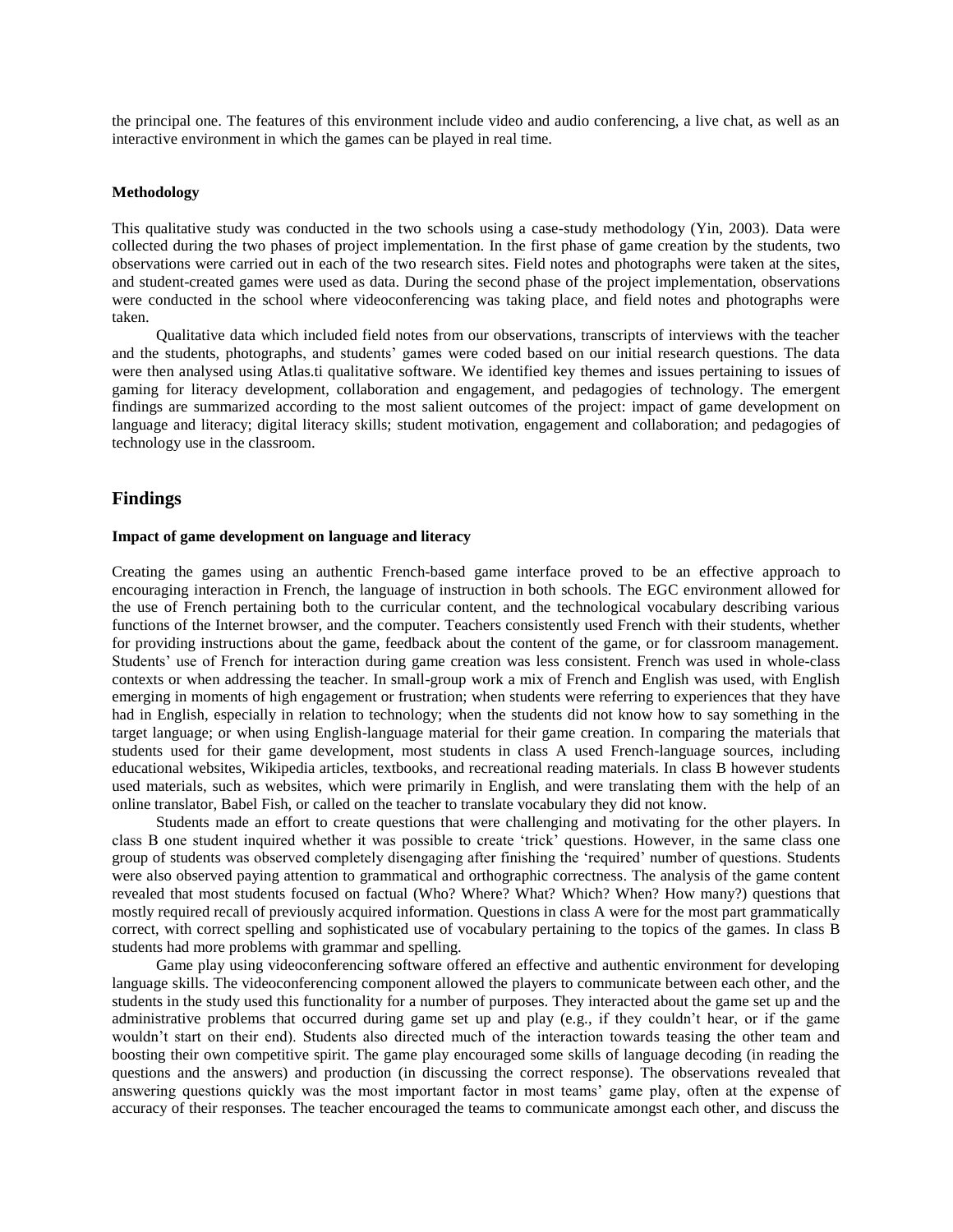the principal one. The features of this environment include video and audio conferencing, a live chat, as well as an interactive environment in which the games can be played in real time.

#### **Methodology**

This qualitative study was conducted in the two schools using a case-study methodology (Yin, 2003). Data were collected during the two phases of project implementation. In the first phase of game creation by the students, two observations were carried out in each of the two research sites. Field notes and photographs were taken at the sites, and student-created games were used as data. During the second phase of the project implementation, observations were conducted in the school where videoconferencing was taking place, and field notes and photographs were taken.

Qualitative data which included field notes from our observations, transcripts of interviews with the teacher and the students, photographs, and students' games were coded based on our initial research questions. The data were then analysed using Atlas.ti qualitative software. We identified key themes and issues pertaining to issues of gaming for literacy development, collaboration and engagement, and pedagogies of technology. The emergent findings are summarized according to the most salient outcomes of the project: impact of game development on language and literacy; digital literacy skills; student motivation, engagement and collaboration; and pedagogies of technology use in the classroom.

### **Findings**

#### **Impact of game development on language and literacy**

Creating the games using an authentic French-based game interface proved to be an effective approach to encouraging interaction in French, the language of instruction in both schools. The EGC environment allowed for the use of French pertaining both to the curricular content, and the technological vocabulary describing various functions of the Internet browser, and the computer. Teachers consistently used French with their students, whether for providing instructions about the game, feedback about the content of the game, or for classroom management. Students' use of French for interaction during game creation was less consistent. French was used in whole-class contexts or when addressing the teacher. In small-group work a mix of French and English was used, with English emerging in moments of high engagement or frustration; when students were referring to experiences that they have had in English, especially in relation to technology; when the students did not know how to say something in the target language; or when using English-language material for their game creation. In comparing the materials that students used for their game development, most students in class A used French-language sources, including educational websites, Wikipedia articles, textbooks, and recreational reading materials. In class B however students used materials, such as websites, which were primarily in English, and were translating them with the help of an online translator, Babel Fish, or called on the teacher to translate vocabulary they did not know.

Students made an effort to create questions that were challenging and motivating for the other players. In class B one student inquired whether it was possible to create 'trick' questions. However, in the same class one group of students was observed completely disengaging after finishing the ‗required' number of questions. Students were also observed paying attention to grammatical and orthographic correctness. The analysis of the game content revealed that most students focused on factual (Who? Where? What? Which? When? How many?) questions that mostly required recall of previously acquired information. Questions in class A were for the most part grammatically correct, with correct spelling and sophisticated use of vocabulary pertaining to the topics of the games. In class B students had more problems with grammar and spelling.

Game play using videoconferencing software offered an effective and authentic environment for developing language skills. The videoconferencing component allowed the players to communicate between each other, and the students in the study used this functionality for a number of purposes. They interacted about the game set up and the administrative problems that occurred during game set up and play (e.g., if they couldn't hear, or if the game wouldn't start on their end). Students also directed much of the interaction towards teasing the other team and boosting their own competitive spirit. The game play encouraged some skills of language decoding (in reading the questions and the answers) and production (in discussing the correct response). The observations revealed that answering questions quickly was the most important factor in most teams' game play, often at the expense of accuracy of their responses. The teacher encouraged the teams to communicate amongst each other, and discuss the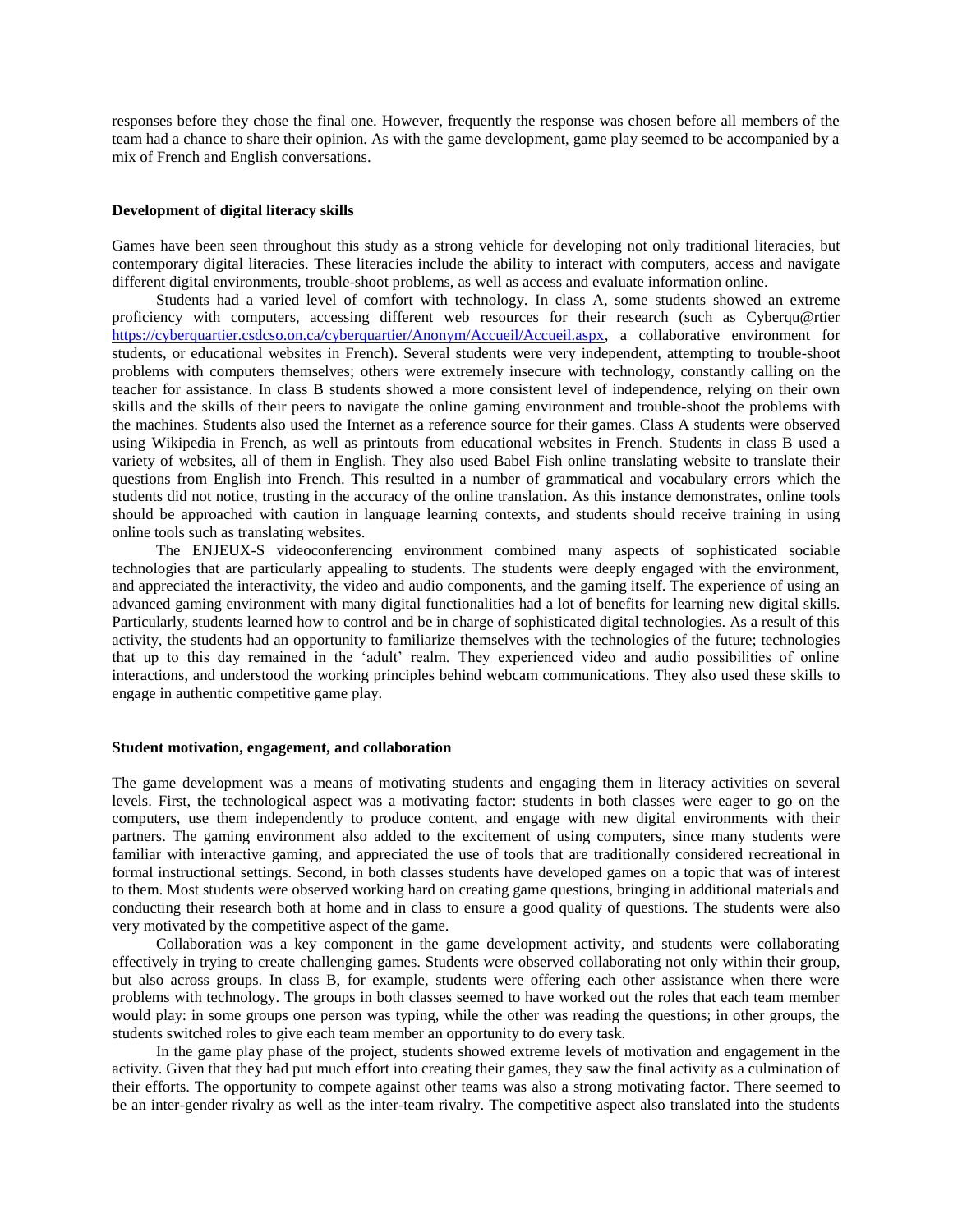responses before they chose the final one. However, frequently the response was chosen before all members of the team had a chance to share their opinion. As with the game development, game play seemed to be accompanied by a mix of French and English conversations.

#### **Development of digital literacy skills**

Games have been seen throughout this study as a strong vehicle for developing not only traditional literacies, but contemporary digital literacies. These literacies include the ability to interact with computers, access and navigate different digital environments, trouble-shoot problems, as well as access and evaluate information online.

Students had a varied level of comfort with technology. In class A, some students showed an extreme proficiency with computers, accessing different web resources for their research (such as Cyberqu@rtier [https://cyberquartier.csdcso.on.ca/cyberquartier/Anonym/Accueil/Accueil.aspx,](https://cyberquartier.csdcso.on.ca/cyberquartier/Anonym/Accueil/Accueil.aspx) a collaborative environment for students, or educational websites in French). Several students were very independent, attempting to trouble-shoot problems with computers themselves; others were extremely insecure with technology, constantly calling on the teacher for assistance. In class B students showed a more consistent level of independence, relying on their own skills and the skills of their peers to navigate the online gaming environment and trouble-shoot the problems with the machines. Students also used the Internet as a reference source for their games. Class A students were observed using Wikipedia in French, as well as printouts from educational websites in French. Students in class B used a variety of websites, all of them in English. They also used Babel Fish online translating website to translate their questions from English into French. This resulted in a number of grammatical and vocabulary errors which the students did not notice, trusting in the accuracy of the online translation. As this instance demonstrates, online tools should be approached with caution in language learning contexts, and students should receive training in using online tools such as translating websites.

The ENJEUX-S videoconferencing environment combined many aspects of sophisticated sociable technologies that are particularly appealing to students. The students were deeply engaged with the environment, and appreciated the interactivity, the video and audio components, and the gaming itself. The experience of using an advanced gaming environment with many digital functionalities had a lot of benefits for learning new digital skills. Particularly, students learned how to control and be in charge of sophisticated digital technologies. As a result of this activity, the students had an opportunity to familiarize themselves with the technologies of the future; technologies that up to this day remained in the 'adult' realm. They experienced video and audio possibilities of online interactions, and understood the working principles behind webcam communications. They also used these skills to engage in authentic competitive game play.

#### **Student motivation, engagement, and collaboration**

The game development was a means of motivating students and engaging them in literacy activities on several levels. First, the technological aspect was a motivating factor: students in both classes were eager to go on the computers, use them independently to produce content, and engage with new digital environments with their partners. The gaming environment also added to the excitement of using computers, since many students were familiar with interactive gaming, and appreciated the use of tools that are traditionally considered recreational in formal instructional settings. Second, in both classes students have developed games on a topic that was of interest to them. Most students were observed working hard on creating game questions, bringing in additional materials and conducting their research both at home and in class to ensure a good quality of questions. The students were also very motivated by the competitive aspect of the game.

Collaboration was a key component in the game development activity, and students were collaborating effectively in trying to create challenging games. Students were observed collaborating not only within their group, but also across groups. In class B, for example, students were offering each other assistance when there were problems with technology. The groups in both classes seemed to have worked out the roles that each team member would play: in some groups one person was typing, while the other was reading the questions; in other groups, the students switched roles to give each team member an opportunity to do every task.

In the game play phase of the project, students showed extreme levels of motivation and engagement in the activity. Given that they had put much effort into creating their games, they saw the final activity as a culmination of their efforts. The opportunity to compete against other teams was also a strong motivating factor. There seemed to be an inter-gender rivalry as well as the inter-team rivalry. The competitive aspect also translated into the students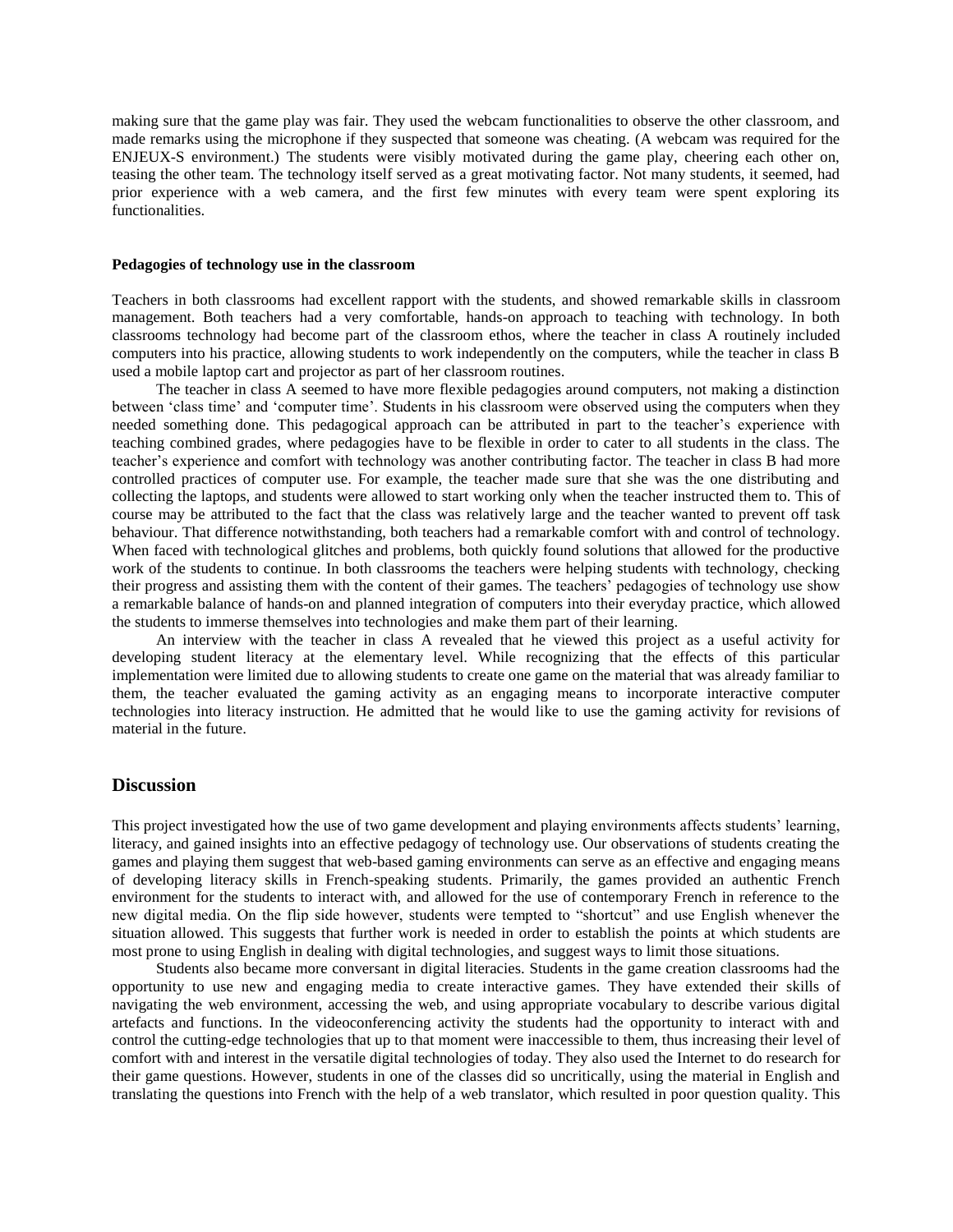making sure that the game play was fair. They used the webcam functionalities to observe the other classroom, and made remarks using the microphone if they suspected that someone was cheating. (A webcam was required for the ENJEUX-S environment.) The students were visibly motivated during the game play, cheering each other on, teasing the other team. The technology itself served as a great motivating factor. Not many students, it seemed, had prior experience with a web camera, and the first few minutes with every team were spent exploring its functionalities.

#### **Pedagogies of technology use in the classroom**

Teachers in both classrooms had excellent rapport with the students, and showed remarkable skills in classroom management. Both teachers had a very comfortable, hands-on approach to teaching with technology. In both classrooms technology had become part of the classroom ethos, where the teacher in class A routinely included computers into his practice, allowing students to work independently on the computers, while the teacher in class B used a mobile laptop cart and projector as part of her classroom routines.

The teacher in class A seemed to have more flexible pedagogies around computers, not making a distinction between 'class time' and 'computer time'. Students in his classroom were observed using the computers when they needed something done. This pedagogical approach can be attributed in part to the teacher's experience with teaching combined grades, where pedagogies have to be flexible in order to cater to all students in the class. The teacher's experience and comfort with technology was another contributing factor. The teacher in class B had more controlled practices of computer use. For example, the teacher made sure that she was the one distributing and collecting the laptops, and students were allowed to start working only when the teacher instructed them to. This of course may be attributed to the fact that the class was relatively large and the teacher wanted to prevent off task behaviour. That difference notwithstanding, both teachers had a remarkable comfort with and control of technology. When faced with technological glitches and problems, both quickly found solutions that allowed for the productive work of the students to continue. In both classrooms the teachers were helping students with technology, checking their progress and assisting them with the content of their games. The teachers' pedagogies of technology use show a remarkable balance of hands-on and planned integration of computers into their everyday practice, which allowed the students to immerse themselves into technologies and make them part of their learning.

An interview with the teacher in class A revealed that he viewed this project as a useful activity for developing student literacy at the elementary level. While recognizing that the effects of this particular implementation were limited due to allowing students to create one game on the material that was already familiar to them, the teacher evaluated the gaming activity as an engaging means to incorporate interactive computer technologies into literacy instruction. He admitted that he would like to use the gaming activity for revisions of material in the future.

#### **Discussion**

This project investigated how the use of two game development and playing environments affects students' learning, literacy, and gained insights into an effective pedagogy of technology use. Our observations of students creating the games and playing them suggest that web-based gaming environments can serve as an effective and engaging means of developing literacy skills in French-speaking students. Primarily, the games provided an authentic French environment for the students to interact with, and allowed for the use of contemporary French in reference to the new digital media. On the flip side however, students were tempted to "shortcut" and use English whenever the situation allowed. This suggests that further work is needed in order to establish the points at which students are most prone to using English in dealing with digital technologies, and suggest ways to limit those situations.

Students also became more conversant in digital literacies. Students in the game creation classrooms had the opportunity to use new and engaging media to create interactive games. They have extended their skills of navigating the web environment, accessing the web, and using appropriate vocabulary to describe various digital artefacts and functions. In the videoconferencing activity the students had the opportunity to interact with and control the cutting-edge technologies that up to that moment were inaccessible to them, thus increasing their level of comfort with and interest in the versatile digital technologies of today. They also used the Internet to do research for their game questions. However, students in one of the classes did so uncritically, using the material in English and translating the questions into French with the help of a web translator, which resulted in poor question quality. This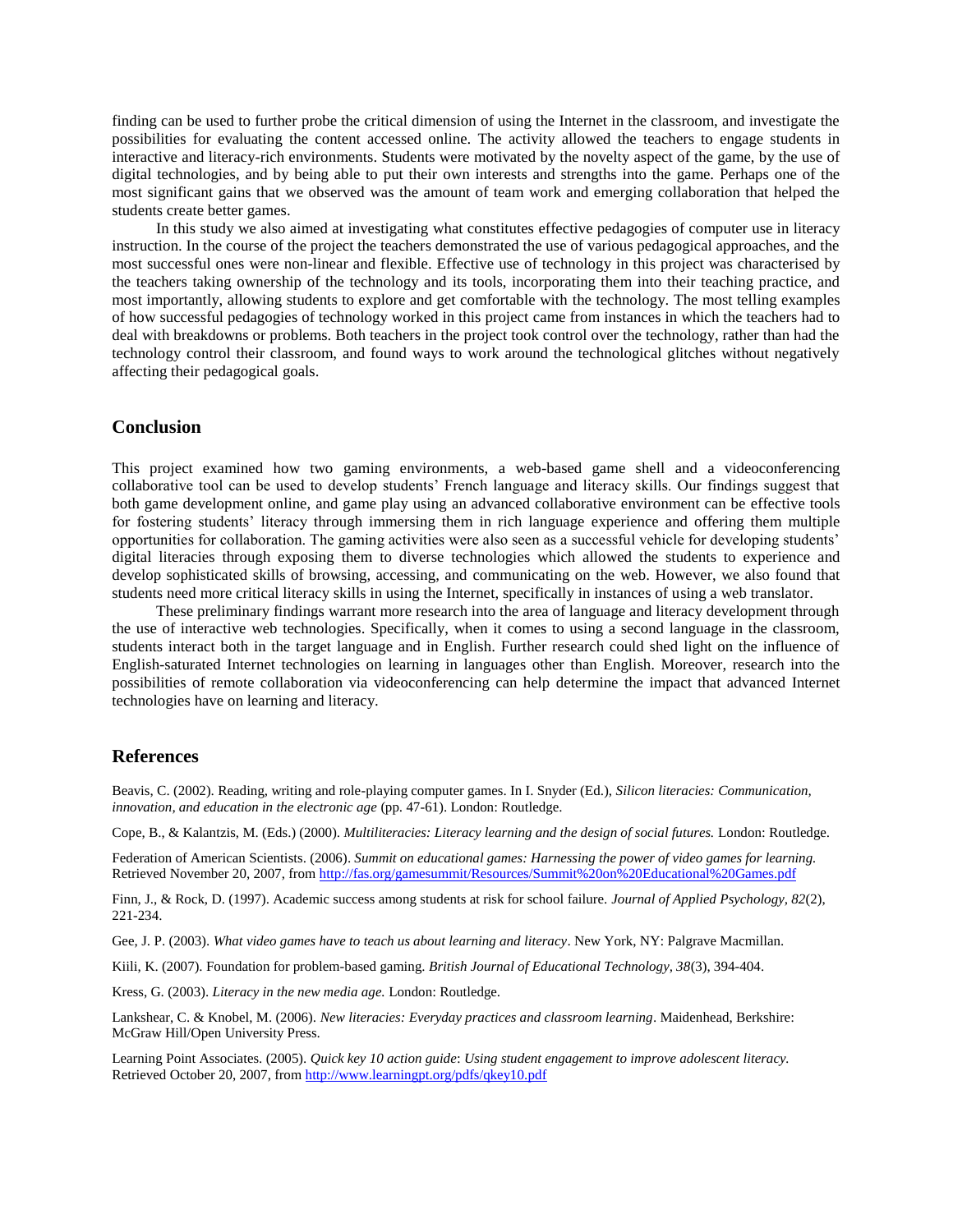finding can be used to further probe the critical dimension of using the Internet in the classroom, and investigate the possibilities for evaluating the content accessed online. The activity allowed the teachers to engage students in interactive and literacy-rich environments. Students were motivated by the novelty aspect of the game, by the use of digital technologies, and by being able to put their own interests and strengths into the game. Perhaps one of the most significant gains that we observed was the amount of team work and emerging collaboration that helped the students create better games.

In this study we also aimed at investigating what constitutes effective pedagogies of computer use in literacy instruction. In the course of the project the teachers demonstrated the use of various pedagogical approaches, and the most successful ones were non-linear and flexible. Effective use of technology in this project was characterised by the teachers taking ownership of the technology and its tools, incorporating them into their teaching practice, and most importantly, allowing students to explore and get comfortable with the technology. The most telling examples of how successful pedagogies of technology worked in this project came from instances in which the teachers had to deal with breakdowns or problems. Both teachers in the project took control over the technology, rather than had the technology control their classroom, and found ways to work around the technological glitches without negatively affecting their pedagogical goals.

# **Conclusion**

This project examined how two gaming environments, a web-based game shell and a videoconferencing collaborative tool can be used to develop students' French language and literacy skills. Our findings suggest that both game development online, and game play using an advanced collaborative environment can be effective tools for fostering students' literacy through immersing them in rich language experience and offering them multiple opportunities for collaboration. The gaming activities were also seen as a successful vehicle for developing students' digital literacies through exposing them to diverse technologies which allowed the students to experience and develop sophisticated skills of browsing, accessing, and communicating on the web. However, we also found that students need more critical literacy skills in using the Internet, specifically in instances of using a web translator.

These preliminary findings warrant more research into the area of language and literacy development through the use of interactive web technologies. Specifically, when it comes to using a second language in the classroom, students interact both in the target language and in English. Further research could shed light on the influence of English-saturated Internet technologies on learning in languages other than English. Moreover, research into the possibilities of remote collaboration via videoconferencing can help determine the impact that advanced Internet technologies have on learning and literacy.

# **References**

Beavis, C. (2002). Reading, writing and role-playing computer games. In I. Snyder (Ed.), *Silicon literacies: Communication, innovation, and education in the electronic age* (pp. 47-61). London: Routledge.

Cope, B., & Kalantzis, M. (Eds.) (2000). *Multiliteracies: Literacy learning and the design of social futures.* London: Routledge.

Federation of American Scientists. (2006). *Summit on educational games: Harnessing the power of video games for learning.*  Retrieved November 20, 2007, from<http://fas.org/gamesummit/Resources/Summit%20on%20Educational%20Games.pdf>

Finn, J., & Rock, D. (1997). Academic success among students at risk for school failure. *Journal of Applied Psychology, 82*(2), 221-234.

Gee, J. P. (2003). *What video games have to teach us about learning and literacy*. New York, NY: Palgrave Macmillan.

Kiili, K. (2007). Foundation for problem-based gaming. *British Journal of Educational Technology, 38*(3), 394-404.

Kress, G. (2003). *Literacy in the new media age.* London: Routledge.

Lankshear, C. & Knobel, M. (2006). *New literacies: Everyday practices and classroom learning*. Maidenhead, Berkshire: McGraw Hill/Open University Press.

Learning Point Associates. (2005). *Quick key 10 action guide*: *Using student engagement to improve adolescent literacy.*  Retrieved October 20, 2007, from<http://www.learningpt.org/pdfs/qkey10.pdf>